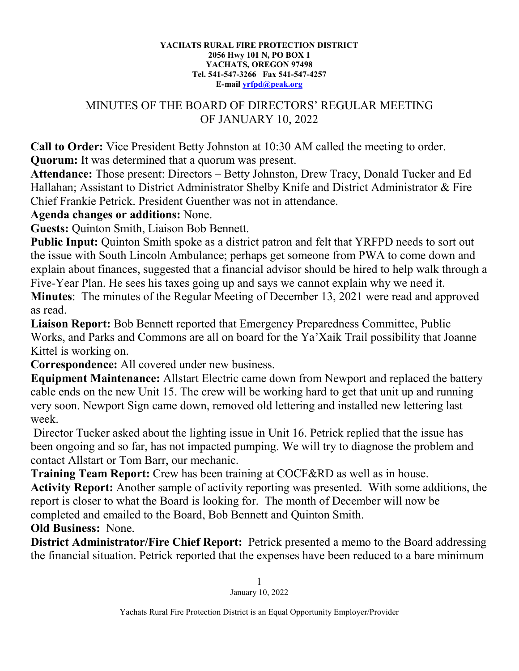## **YACHATS RURAL FIRE PROTECTION DISTRICT 2056 Hwy 101 N, PO BOX 1 YACHATS, OREGON 97498 Tel. 541-547-3266 Fax 541-547-4257 E-mail [yrfpd@peak.org](mailto:yrfpd@peak.org)**

## MINUTES OF THE BOARD OF DIRECTORS' REGULAR MEETING OF JANUARY 10, 2022

**Call to Order:** Vice President Betty Johnston at 10:30 AM called the meeting to order. **Quorum:** It was determined that a quorum was present.

**Attendance:** Those present: Directors – Betty Johnston, Drew Tracy, Donald Tucker and Ed Hallahan; Assistant to District Administrator Shelby Knife and District Administrator & Fire Chief Frankie Petrick. President Guenther was not in attendance.

## **Agenda changes or additions:** None.

**Guests:** Quinton Smith, Liaison Bob Bennett.

**Public Input:** Quinton Smith spoke as a district patron and felt that YRFPD needs to sort out the issue with South Lincoln Ambulance; perhaps get someone from PWA to come down and explain about finances, suggested that a financial advisor should be hired to help walk through a Five-Year Plan. He sees his taxes going up and says we cannot explain why we need it.

**Minutes**: The minutes of the Regular Meeting of December 13, 2021 were read and approved as read.

**Liaison Report:** Bob Bennett reported that Emergency Preparedness Committee, Public Works, and Parks and Commons are all on board for the Ya'Xaik Trail possibility that Joanne Kittel is working on.

**Correspondence:** All covered under new business.

**Equipment Maintenance:** Allstart Electric came down from Newport and replaced the battery cable ends on the new Unit 15. The crew will be working hard to get that unit up and running very soon. Newport Sign came down, removed old lettering and installed new lettering last week.

Director Tucker asked about the lighting issue in Unit 16. Petrick replied that the issue has been ongoing and so far, has not impacted pumping. We will try to diagnose the problem and contact Allstart or Tom Barr, our mechanic.

**Training Team Report:** Crew has been training at COCF&RD as well as in house.

**Activity Report:** Another sample of activity reporting was presented. With some additions, the report is closer to what the Board is looking for. The month of December will now be completed and emailed to the Board, Bob Bennett and Quinton Smith.

**Old Business:** None.

**District Administrator/Fire Chief Report:** Petrick presented a memo to the Board addressing the financial situation. Petrick reported that the expenses have been reduced to a bare minimum